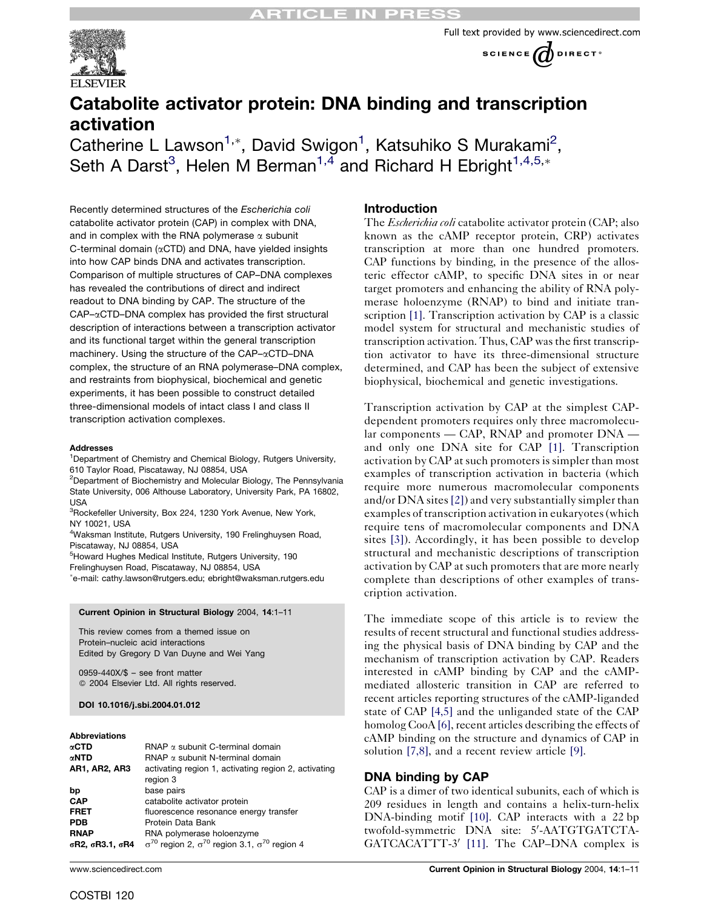





# Catabolite activator protein: DNA binding and transcription activation

Catherine L Lawson<sup>1,\*</sup>, David Swigon<sup>1</sup>, Katsuhiko S Murakami<sup>2</sup>, Seth A Darst<sup>3</sup>, Helen M Berman<sup>1,4</sup> and Richard H Ebright<sup>1,4,5,\*</sup>

Recently determined structures of the Escherichia coli catabolite activator protein (CAP) in complex with DNA, and in complex with the RNA polymerase  $\alpha$  subunit C-terminal domain ( $\alpha$ CTD) and DNA, have yielded insights into how CAP binds DNA and activates transcription. Comparison of multiple structures of CAP–DNA complexes has revealed the contributions of direct and indirect readout to DNA binding by CAP. The structure of the CAP–αCTD–DNA complex has provided the first structural description of interactions between a transcription activator and its functional target within the general transcription machinery. Using the structure of the CAP- $\alpha$ CTD-DNA complex, the structure of an RNA polymerase–DNA complex, and restraints from biophysical, biochemical and genetic experiments, it has been possible to construct detailed three-dimensional models of intact class I and class II transcription activation complexes.

#### **Addresses**

<sup>1</sup>Department of Chemistry and Chemical Biology, Rutgers University, 610 Taylor Road, Piscataway, NJ 08854, USA

<sup>2</sup>Department of Biochemistry and Molecular Biology, The Pennsylvania State University, 006 Althouse Laboratory, University Park, PA 16802, USA

<sup>3</sup>Rockefeller University, Box 224, 1230 York Avenue, New York, NY 10021, USA

4 Waksman Institute, Rutgers University, 190 Frelinghuysen Road, Piscataway, NJ 08854, USA

5 Howard Hughes Medical Institute, Rutgers University, 190

Frelinghuysen Road, Piscataway, NJ 08854, USA e-mail: cathy.lawson@rutgers.edu; ebright@waksman.rutgers.edu

#### Current Opinion in Structural Biology 2004, 14:1–11

This review comes from a themed issue on Protein–nucleic acid interactions Edited by Gregory D Van Duyne and Wei Yang

0959-440X/\$ – see front matter 2004 Elsevier Ltd. All rights reserved.

#### DOI 10.1016/j.sbi.2004.01.012

#### Abbreviations

| $\alpha$ CTD         | RNAP $\alpha$ subunit C-terminal domain                                  |
|----------------------|--------------------------------------------------------------------------|
| αNTD                 | $\mathsf{RNAP}$ $\alpha$ subunit N-terminal domain                       |
| <b>AR1, AR2, AR3</b> | activating region 1, activating region 2, activating<br>region 3         |
| bp                   | base pairs                                                               |
| <b>CAP</b>           | catabolite activator protein                                             |
| <b>FRET</b>          | fluorescence resonance energy transfer                                   |
| <b>PDB</b>           | Protein Data Bank                                                        |
| <b>RNAP</b>          | RNA polymerase holoenzyme                                                |
| σR2, σR3.1, σR4      | $\sigma^{70}$ region 2, $\sigma^{70}$ region 3.1, $\sigma^{70}$ region 4 |

### **Introduction**

The *Escherichia coli* catabolite activator protein (CAP; also known as the cAMP receptor protein, CRP) activates transcription at more than one hundred promoters. CAP functions by binding, in the presence of the allosteric effector cAMP, to specific DNA sites in or near target promoters and enhancing the ability of RNA polymerase holoenzyme (RNAP) to bind and initiate transcription [\[1\]](#page-8-0). Transcription activation by CAP is a classic model system for structural and mechanistic studies of transcription activation. Thus, CAP was the first transcription activator to have its three-dimensional structure determined, and CAP has been the subject of extensive biophysical, biochemical and genetic investigations.

Transcription activation by CAP at the simplest CAPdependent promoters requires only three macromolecular components — CAP, RNAP and promoter DNA and only one DNA site for CAP [\[1\]](#page-8-0). Transcription activation by CAP at such promoters is simpler than most examples of transcription activation in bacteria (which require more numerous macromolecular components and/or DNA sites[\[2\]\)](#page-8-0) and very substantially simpler than examples of transcription activation in eukaryotes (which require tens of macromolecular components and DNA sites [\[3\]](#page-8-0)). Accordingly, it has been possible to develop structural and mechanistic descriptions of transcription activation by CAP at such promoters that are more nearly complete than descriptions of other examples of transcription activation.

The immediate scope of this article is to review the results of recent structural and functional studies addressing the physical basis of DNA binding by CAP and the mechanism of transcription activation by CAP. Readers interested in cAMP binding by CAP and the cAMPmediated allosteric transition in CAP are referred to recent articles reporting structures of the cAMP-liganded state of CAP [\[4,5\]](#page-8-0) and the unliganded state of the CAP homolog CooA [\[6\],](#page-8-0) recent articles describing the effects of cAMP binding on the structure and dynamics of CAP in solution [\[7,8\]](#page-8-0), and a recent review article [\[9\].](#page-8-0)

### DNA binding by CAP

CAP is a dimer of two identical subunits, each of which is 209 residues in length and contains a helix-turn-helix DNA-binding motif [\[10\]](#page-8-0). CAP interacts with a 22 bp twofold-symmetric DNA site: 5'-AATGTGATCTA-GATCACATTT-3' [\[11\]](#page-8-0). The CAP–DNA complex is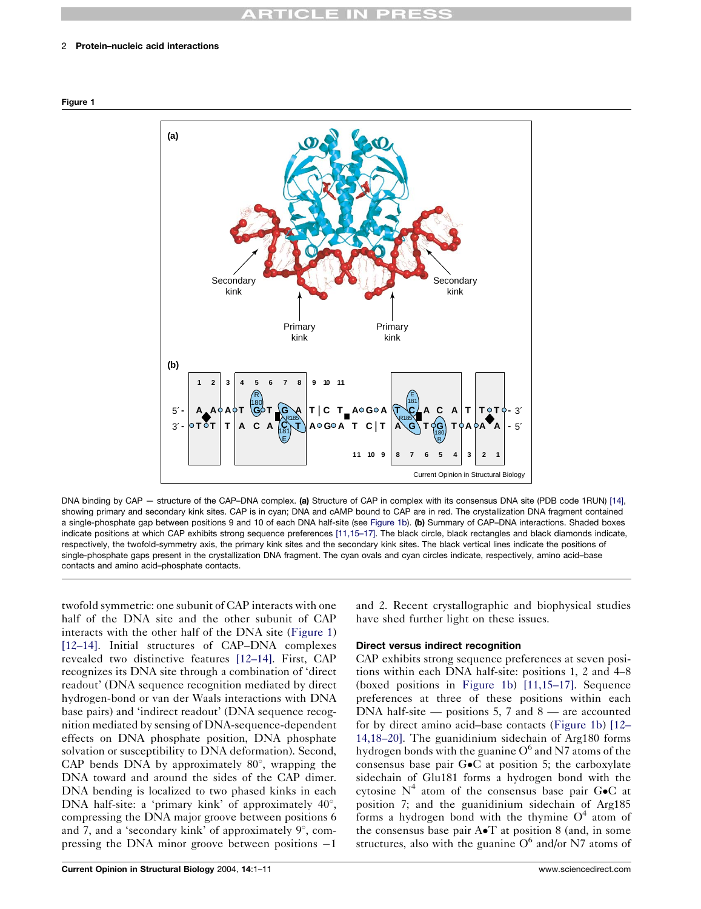#### <span id="page-1-0"></span>2 Protein–nucleic acid interactions





DNA binding by CAP — structure of the CAP–DNA complex. (a) Structure of CAP in complex with its consensus DNA site (PDB code 1RUN) [\[14\],](#page-8-0) showing primary and secondary kink sites. CAP is in cyan; DNA and cAMP bound to CAP are in red. The crystallization DNA fragment contained a single-phosphate gap between positions 9 and 10 of each DNA half-site (see Figure 1b). (b) Summary of CAP–DNA interactions. Shaded boxes indicate positions at which CAP exhibits strong sequence preferences [\[11,15–17\].](#page-8-0) The black circle, black rectangles and black diamonds indicate, respectively, the twofold-symmetry axis, the primary kink sites and the secondary kink sites. The black vertical lines indicate the positions of single-phosphate gaps present in the crystallization DNA fragment. The cyan ovals and cyan circles indicate, respectively, amino acid–base contacts and amino acid–phosphate contacts.

twofold symmetric: one subunit of CAP interacts with one half of the DNA site and the other subunit of CAP interacts with the other half of the DNA site (Figure 1) [\[12–14\]](#page-8-0). Initial structures of CAP–DNA complexes revealed two distinctive features [\[12–14\].](#page-8-0) First, CAP recognizes its DNA site through a combination of 'direct readout' (DNA sequence recognition mediated by direct hydrogen-bond or van der Waals interactions with DNA base pairs) and 'indirect readout' (DNA sequence recognition mediated by sensing of DNA-sequence-dependent effects on DNA phosphate position, DNA phosphate solvation or susceptibility to DNA deformation). Second, CAP bends DNA by approximately  $80^\circ$ , wrapping the DNA toward and around the sides of the CAP dimer. DNA bending is localized to two phased kinks in each DNA half-site: a 'primary kink' of approximately  $40^{\circ}$ , compressing the DNA major groove between positions 6 and 7, and a 'secondary kink' of approximately  $9^{\circ}$ , compressing the DNA minor groove between positions  $-1$ 

and 2. Recent crystallographic and biophysical studies have shed further light on these issues.

# Direct versus indirect recognition

CAP exhibits strong sequence preferences at seven positions within each DNA half-site: positions 1, 2 and 4–8 (boxed positions in Figure 1b) [\[11,15–17\].](#page-8-0) Sequence preferences at three of these positions within each DNA half-site  $-$  positions 5, 7 and  $8 -$  are accounted for by direct amino acid–base contacts (Figure 1b) [\[12–](#page-8-0) [14,18–20\].](#page-8-0) The guanidinium sidechain of Arg180 forms hydrogen bonds with the guanine  $O<sup>6</sup>$  and N7 atoms of the consensus base pair  $G \bullet C$  at position 5; the carboxylate sidechain of Glu181 forms a hydrogen bond with the cytosine  $N^4$  atom of the consensus base pair G $\bullet$ C at position 7; and the guanidinium sidechain of Arg185 forms a hydrogen bond with the thymine  $O<sup>4</sup>$  atom of the consensus base pair  $A \cdot T$  at position 8 (and, in some structures, also with the guanine  $O^6$  and/or N7 atoms of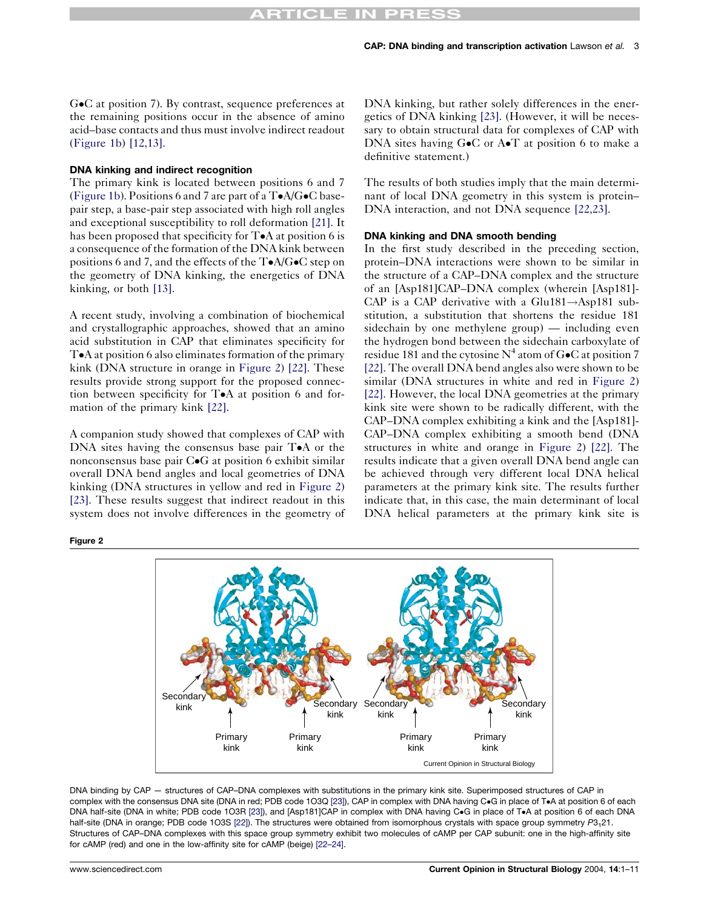G•C at position 7). By contrast, sequence preferences at the remaining positions occur in the absence of amino acid–base contacts and thus must involve indirect readout [\(Figure 1b](#page-1-0)) [\[12,13\]](#page-8-0).

# DNA kinking and indirect recognition

The primary kink is located between positions 6 and 7 [\(Figure 1b](#page-1-0)). Positions 6 and 7 are part of a  $T\bullet A/G\bullet C$  basepair step, a base-pair step associated with high roll angles and exceptional susceptibility to roll deformation [\[21\].](#page-8-0) It has been proposed that specificity for  $T \bullet A$  at position 6 is a consequence of the formation of the DNA kink between positions 6 and 7, and the effects of the  $T \bullet A/G \bullet C$  step on the geometry of DNA kinking, the energetics of DNA kinking, or both [\[13\]](#page-8-0).

A recent study, involving a combination of biochemical and crystallographic approaches, showed that an amino acid substitution in CAP that eliminates specificity for T•A at position 6 also eliminates formation of the primary kink (DNA structure in orange in Figure 2) [\[22\]](#page-8-0). These results provide strong support for the proposed connection between specificity for  $T \bullet A$  at position 6 and formation of the primary kink [\[22\].](#page-8-0)

A companion study showed that complexes of CAP with DNA sites having the consensus base pair  $T \bullet A$  or the nonconsensus base pair  $C \bullet G$  at position 6 exhibit similar overall DNA bend angles and local geometries of DNA kinking (DNA structures in yellow and red in Figure 2) [\[23\].](#page-8-0) These results suggest that indirect readout in this system does not involve differences in the geometry of

Figure 2

DNA kinking, but rather solely differences in the energetics of DNA kinking [\[23\]](#page-8-0). (However, it will be necessary to obtain structural data for complexes of CAP with DNA sites having  $G \bullet C$  or  $A \bullet T$  at position 6 to make a definitive statement.)

The results of both studies imply that the main determinant of local DNA geometry in this system is protein– DNA interaction, and not DNA sequence [\[22,23\].](#page-8-0)

#### DNA kinking and DNA smooth bending

In the first study described in the preceding section, protein–DNA interactions were shown to be similar in the structure of a CAP–DNA complex and the structure of an [Asp181]CAP–DNA complex (wherein [Asp181]- CAP is a CAP derivative with a Glu181 $\rightarrow$ Asp181 substitution, a substitution that shortens the residue 181 sidechain by one methylene group) — including even the hydrogen bond between the sidechain carboxylate of residue 181 and the cytosine  $N^4$  atom of G $\bullet$ C at position 7 [\[22\].](#page-8-0) The overall DNA bend angles also were shown to be similar (DNA structures in white and red in Figure 2) [\[22\].](#page-8-0) However, the local DNA geometries at the primary kink site were shown to be radically different, with the CAP–DNA complex exhibiting a kink and the [Asp181]- CAP–DNA complex exhibiting a smooth bend (DNA structures in white and orange in Figure 2) [\[22\]](#page-8-0). The results indicate that a given overall DNA bend angle can be achieved through very different local DNA helical parameters at the primary kink site. The results further indicate that, in this case, the main determinant of local DNA helical parameters at the primary kink site is



DNA binding by CAP — structures of CAP–DNA complexes with substitutions in the primary kink site. Superimposed structures of CAP in complex with the consensus DNA site (DNA in red; PDB code 1O3Q [\[23\]](#page-8-0)), CAP in complex with DNA having C.G in place of T.A at position 6 of each DNA half-site (DNA in white; PDB code 1O3R [\[23\]](#page-8-0)), and [Asp181]CAP in complex with DNA having CoG in place of ToA at position 6 of each DNA half-site (DNA in orange; PDB code 1O3S [\[22\]\)](#page-8-0). The structures were obtained from isomorphous crystals with space group symmetry P3<sub>1</sub>21. Structures of CAP–DNA complexes with this space group symmetry exhibit two molecules of cAMP per CAP subunit: one in the high-affinity site for cAMP (red) and one in the low-affinity site for cAMP (beige) [\[22–24\]](#page-8-0).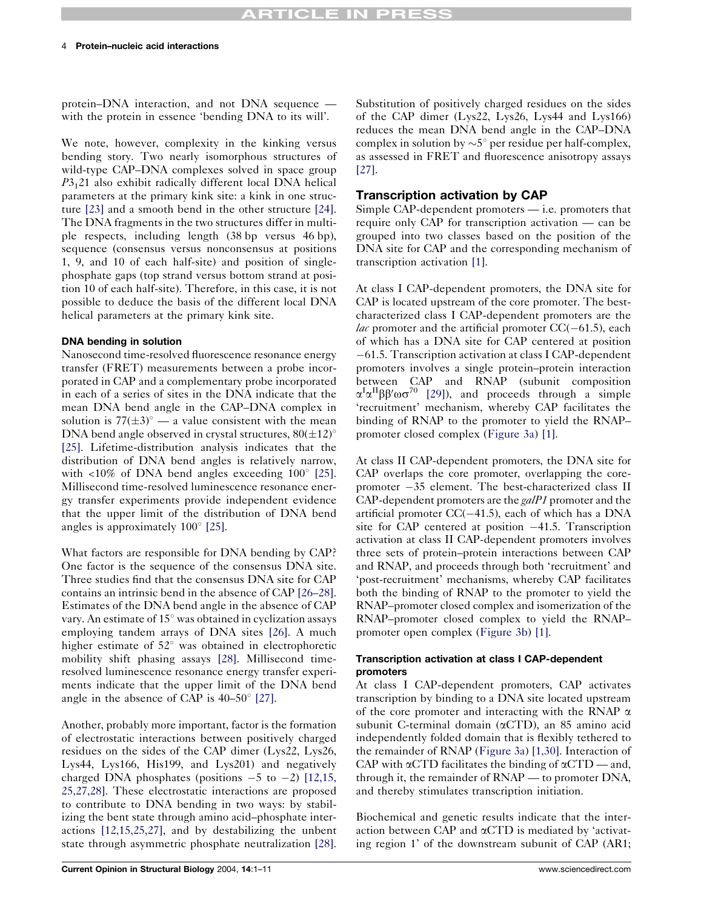# **TICLE IN PRES**

protein–DNA interaction, and not DNA sequence with the protein in essence 'bending DNA to its will'.

We note, however, complexity in the kinking versus bending story. Two nearly isomorphous structures of wild-type CAP–DNA complexes solved in space group P3121 also exhibit radically different local DNA helical parameters at the primary kink site: a kink in one structure [\[23\]](#page-8-0) and a smooth bend in the other structure [\[24\].](#page-8-0) The DNA fragments in the two structures differ in multiple respects, including length (38 bp versus 46 bp), sequence (consensus versus nonconsensus at positions 1, 9, and 10 of each half-site) and position of singlephosphate gaps (top strand versus bottom strand at position 10 of each half-site). Therefore, in this case, it is not possible to deduce the basis of the different local DNA helical parameters at the primary kink site.

#### DNA bending in solution

Nanosecond time-resolved fluorescence resonance energy transfer (FRET) measurements between a probe incorporated in CAP and a complementary probe incorporated in each of a series of sites in the DNA indicate that the mean DNA bend angle in the CAP–DNA complex in solution is  $77(\pm 3)^\circ$  — a value consistent with the mean DNA bend angle observed in crystal structures,  $80(\pm 12)^\circ$ [\[25\]](#page-8-0). Lifetime-distribution analysis indicates that the distribution of DNA bend angles is relatively narrow, with  $\langle 10\% \rangle$  of DNA bend angles exceeding  $100^{\circ}$  [\[25\].](#page-8-0) Millisecond time-resolved luminescence resonance energy transfer experiments provide independent evidence that the upper limit of the distribution of DNA bend angles is approximately  $100^{\circ}$  [\[25\]](#page-8-0).

What factors are responsible for DNA bending by CAP? One factor is the sequence of the consensus DNA site. Three studies find that the consensus DNA site for CAP contains an intrinsic bend in the absence of CAP [\[26–28\].](#page-8-0) Estimates of the DNA bend angle in the absence of CAP vary. An estimate of  $15^{\circ}$  was obtained in cyclization assays employing tandem arrays of DNA sites [\[26\]](#page-8-0). A much higher estimate of  $52^{\circ}$  was obtained in electrophoretic mobility shift phasing assays [\[28\].](#page-9-0) Millisecond timeresolved luminescence resonance energy transfer experiments indicate that the upper limit of the DNA bend angle in the absence of CAP is  $40-50^{\circ}$  [\[27\].](#page-8-0)

Another, probably more important, factor is the formation of electrostatic interactions between positively charged residues on the sides of the CAP dimer (Lys22, Lys26, Lys44, Lys166, His199, and Lys201) and negatively charged DNA phosphates (positions  $-5$  to  $-2$ ) [\[12,15,](#page-8-0) [25,27,28\]](#page-8-0). These electrostatic interactions are proposed to contribute to DNA bending in two ways: by stabilizing the bent state through amino acid–phosphate interactions [\[12,15,25,27\]](#page-8-0), and by destabilizing the unbent state through asymmetric phosphate neutralization [\[28\].](#page-9-0)

Substitution of positively charged residues on the sides of the CAP dimer (Lys22, Lys26, Lys44 and Lys166) reduces the mean DNA bend angle in the CAP–DNA complex in solution by  $\sim 5^{\circ}$  per residue per half-complex, as assessed in FRET and fluorescence anisotropy assays [\[27\].](#page-8-0)

# Transcription activation by CAP

Simple CAP-dependent promoters — i.e. promoters that require only CAP for transcription activation — can be grouped into two classes based on the position of the DNA site for CAP and the corresponding mechanism of transcription activation [\[1\].](#page-8-0)

At class I CAP-dependent promoters, the DNA site for CAP is located upstream of the core promoter. The bestcharacterized class I CAP-dependent promoters are the *lac* promoter and the artificial promoter  $CC(-61.5)$ , each of which has a DNA site for CAP centered at position 61.5. Transcription activation at class I CAP-dependent promoters involves a single protein–protein interaction between CAP and RNAP (subunit composition  $\alpha^I \alpha^{II} \beta \beta' \omega \sigma^{70}$  [\[29\]](#page-9-0)), and proceeds through a simple 'recruitment' mechanism, whereby CAP facilitates the binding of RNAP to the promoter to yield the RNAP– promoter closed complex ([Figure 3a\)](#page-4-0) [\[1\]](#page-8-0).

At class II CAP-dependent promoters, the DNA site for CAP overlaps the core promoter, overlapping the corepromoter  $-35$  element. The best-characterized class II CAP-dependent promoters are the galP1 promoter and the artificial promoter  $CC(-41.5)$ , each of which has a DNA site for CAP centered at position  $-41.5$ . Transcription activation at class II CAP-dependent promoters involves three sets of protein–protein interactions between CAP and RNAP, and proceeds through both 'recruitment' and 'post-recruitment' mechanisms, whereby CAP facilitates both the binding of RNAP to the promoter to yield the RNAP–promoter closed complex and isomerization of the RNAP–promoter closed complex to yield the RNAP– promoter open complex [\(Figure 3b\)](#page-4-0) [\[1\]](#page-8-0).

### Transcription activation at class I CAP-dependent promoters

At class I CAP-dependent promoters, CAP activates transcription by binding to a DNA site located upstream of the core promoter and interacting with the RNAP  $\alpha$ subunit C-terminal domain (aCTD), an 85 amino acid independently folded domain that is flexibly tethered to the remainder of RNAP [\(Figure 3a\)](#page-4-0) [\[1,30\].](#page-8-0) Interaction of CAP with  $\alpha$ CTD facilitates the binding of  $\alpha$ CTD — and, through it, the remainder of RNAP — to promoter DNA, and thereby stimulates transcription initiation.

Biochemical and genetic results indicate that the interaction between CAP and aCTD is mediated by 'activating region 1' of the downstream subunit of CAP (AR1;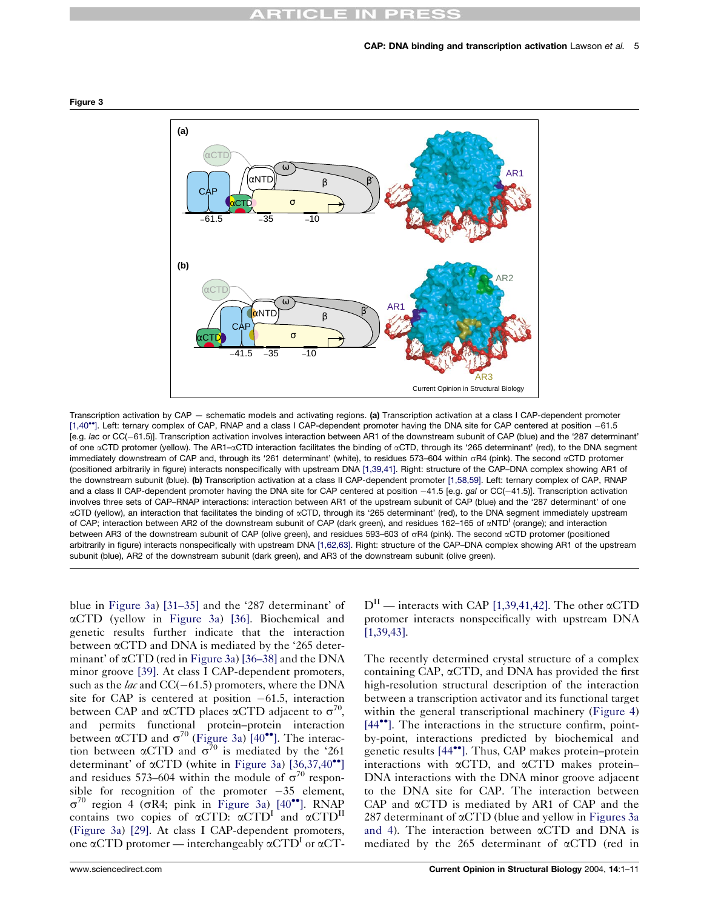# $\bigcap$



<span id="page-4-0"></span>Figure 3

Transcription activation by CAP — schematic models and activating regions. (a) Transcription activation at a class I CAP-dependent promoter [\[1,40](#page-8-0)<sup>\*</sup>[\].](#page-8-0) Left: ternary complex of CAP, RNAP and a class I CAP-dependent promoter having the DNA site for CAP centered at position -61.5 [e.g. lac or CC(61.5)]. Transcription activation involves interaction between AR1 of the downstream subunit of CAP (blue) and the '287 determinant' of one  $\alpha$ CTD protomer (yellow). The AR1– $\alpha$ CTD interaction facilitates the binding of  $\alpha$ CTD, through its '265 determinant' (red), to the DNA segment immediately downstream of CAP and, through its '261 determinant' (white), to residues 573–604 within sR4 (pink). The second aCTD protomer (positioned arbitrarily in figure) interacts nonspecifically with upstream DNA [\[1,39,41\].](#page-8-0) Right: structure of the CAP–DNA complex showing AR1 of the downstream subunit (blue). (b) Transcription activation at a class II CAP-dependent promoter [\[1,58,59\]](#page-8-0). Left: ternary complex of CAP, RNAP and a class II CAP-dependent promoter having the DNA site for CAP centered at position -41.5 [e.g. gal or CC(-41.5)]. Transcription activation involves three sets of CAP–RNAP interactions: interaction between AR1 of the upstream subunit of CAP (blue) and the '287 determinant' of one aCTD (yellow), an interaction that facilitates the binding of aCTD, through its '265 determinant' (red), to the DNA segment immediately upstream of CAP; interaction between AR2 of the downstream subunit of CAP (dark green), and residues 162-165 of  $\alpha NTD^1$  (orange); and interaction between AR3 of the downstream subunit of CAP (olive green), and residues 593-603 of  $\sigma$ R4 (pink). The second  $\alpha$ CTD protomer (positioned arbitrarily in figure) interacts nonspecifically with upstream DNA [\[1,62,63\]](#page-8-0). Right: structure of the CAP–DNA complex showing AR1 of the upstream subunit (blue), AR2 of the downstream subunit (dark green), and AR3 of the downstream subunit (olive green).

blue in Figure 3a) [\[31–35\]](#page-9-0) and the '287 determinant' of aCTD (yellow in Figure 3a) [\[36\]](#page-9-0). Biochemical and genetic results further indicate that the interaction between aCTD and DNA is mediated by the '265 determinant' of aCTD (red in Figure 3a) [\[36–38\]](#page-9-0) and the DNA minor groove [\[39\].](#page-9-0) At class I CAP-dependent promoters, such as the *lac* and  $CC(-61.5)$  promoters, where the DNA site for CAP is centered at position  $-61.5$ , interaction between CAP and  $\alpha$ CTD places  $\alpha$ CTD adjacent to  $\sigma^{70}$ , and permits functional protein–protein interaction between  $\alpha$ CTD and  $\sigma^{70}$  (Figure 3a) [\[40](#page-9-0)<sup>\*</sup>[\]](#page-9-0). The interaction between  $\alpha$ CTD and  $\sigma^{70}$  is mediated by the '261 determinant' of  $\alpha$ CTD (white in Figure 3a) [\[36,37,40](#page-9-0)<sup> $\bullet$ °</sup>[\]](#page-9-0) and residues 573–604 within the module of  $\sigma^{70}$  responsible for recognition of the promoter  $-35$  element,  $\sigma^{70}$  region 4 ( $\sigma$ R4; pink in Figure 3a) [\[40](#page-9-0)<sup> $\bullet$ </sup>[\]](#page-9-0). RNAP contains two copies of  $\alpha$ CTD:  $\alpha$ CTD<sup>I</sup> and  $\alpha$ CTD<sup>II</sup> (Figure 3a) [\[29\]](#page-9-0). At class I CAP-dependent promoters, one  $\alpha$ CTD protomer — interchangeably  $\alpha$ CTD<sup>I</sup> or  $\alpha$ CT-

 $D<sup>H</sup>$  — interacts with CAP [\[1,39,41,42\].](#page-8-0) The other  $\alpha$ CTD protomer interacts nonspecifically with upstream DNA [\[1,39,43\]](#page-8-0).

The recently determined crystal structure of a complex containing CAP,  $\alpha$ CTD, and DNA has provided the first high-resolution structural description of the interaction between a transcription activator and its functional target within the general transcriptional machinery ([Figure 4](#page-5-0)) [\[44](#page-9-0)<sup> $\bullet$ </sup>[\]](#page-9-0). The interactions in the structure confirm, pointby-point, interactions predicted by biochemical and genetic results [\[44](#page-9-0)<sup> $\bullet$ </sup>[\].](#page-9-0) Thus, CAP makes protein–protein interactions with  $\alpha$ CTD, and  $\alpha$ CTD makes protein-DNA interactions with the DNA minor groove adjacent to the DNA site for CAP. The interaction between CAP and  $\alpha$ CTD is mediated by AR1 of CAP and the 287 determinant of  $\alpha$ CTD (blue and yellow in Figures 3a and 4). The interaction between  $\alpha$ CTD and DNA is mediated by the 265 determinant of  $\alpha$ CTD (red in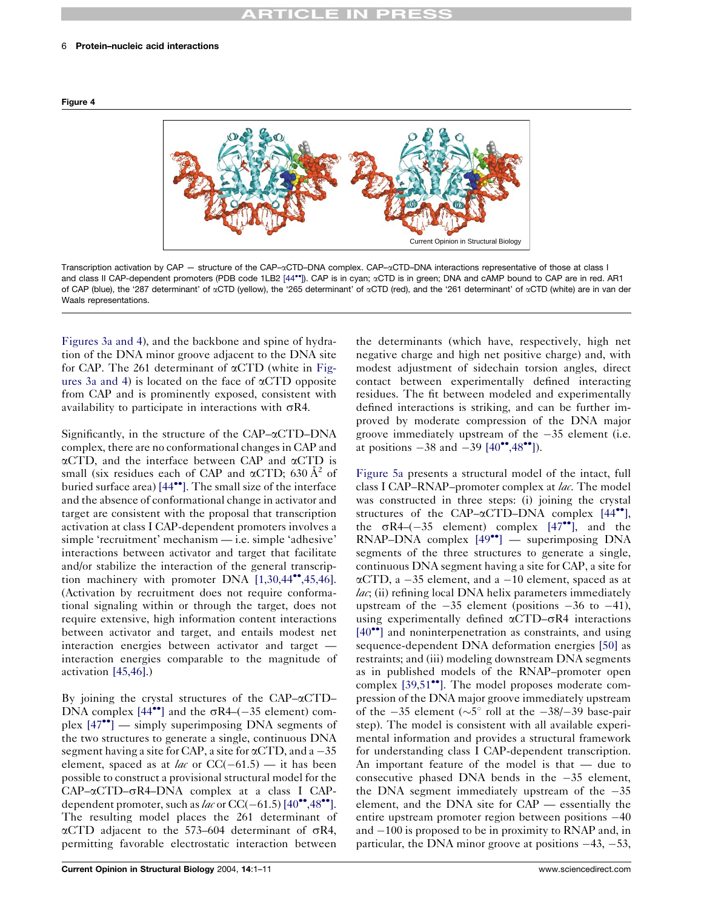# $\sim$   $\sim$

#### <span id="page-5-0"></span>6 Protein–nucleic acid interactions



Transcription activation by CAP — structure of the CAP– $\alpha$ CTD–DNA complex. CAP– $\alpha$ CTD–DNA interactions representative of those at class I and class II CAP-dependent promoters (PDB code 1LB2 [\[44](#page-9-0)\*\*[\]](#page-9-0)). CAP is in cyan;  $\alpha$ CTD is in green; DNA and cAMP bound to CAP are in red. AR1 of CAP (blue), the '287 determinant' of aCTD (yellow), the '265 determinant' of aCTD (red), and the '261 determinant' of aCTD (white) are in van der Waals representations.

[Figures 3a and 4](#page-4-0)), and the backbone and spine of hydration of the DNA minor groove adjacent to the DNA site for CAP. The 261 determinant of  $\alpha$ CTD (white in [Fig](#page-4-0)[ures 3a and 4\)](#page-4-0) is located on the face of  $\alpha$ CTD opposite from CAP and is prominently exposed, consistent with availability to participate in interactions with  $\sigma R4$ .

Significantly, in the structure of the CAP– $\alpha$ CTD–DNA complex, there are no conformational changes in CAP and  $\alpha$ CTD, and the interface between CAP and  $\alpha$ CTD is small (six residues each of CAP and  $\alpha$ CTD; 630  $\AA$ <sup>2</sup> of buried surface area)  $[44\bullet]$  $[44\bullet]$ . The small size of the interface and the absence of conformational change in activator and target are consistent with the proposal that transcription activation at class I CAP-dependent promoters involves a simple 'recruitment' mechanism — i.e. simple 'adhesive' interactions between activator and target that facilitate and/or stabilize the interaction of the general transcription machinery with promoter DNA  $[1,30,44^{\bullet\bullet},45,46]$  $[1,30,44^{\bullet\bullet},45,46]$ . (Activation by recruitment does not require conformational signaling within or through the target, does not require extensive, high information content interactions between activator and target, and entails modest net interaction energies between activator and target interaction energies comparable to the magnitude of activation [\[45,46\]](#page-9-0).)

By joining the crystal structures of the CAP– $\alpha$ CTD– DNA complex  $[44^{\bullet\bullet}]$  $[44^{\bullet\bullet}]$  $[44^{\bullet\bullet}]$  and the  $\sigma R4-(-35)$  element) complex  $[47^{\bullet\bullet}]$  $[47^{\bullet\bullet}]$  $[47^{\bullet\bullet}]$  — simply superimposing DNA segments of the two structures to generate a single, continuous DNA segment having a site for CAP, a site for  $\alpha$ CTD, and a  $-35$ element, spaced as at *lac* or  $CC(-61.5)$  — it has been possible to construct a provisional structural model for the  $CAP-\alpha CTD-\sigma R4-DNA$  complex at a class I CAPdependent promoter, such as lac or  $CC(-61.5)$  [\[40](#page-9-0)<sup> $\bullet$ </sup>[,48](#page-9-0) $\bullet\bullet$ [\].](#page-9-0) The resulting model places the 261 determinant of  $\alpha$ CTD adjacent to the 573–604 determinant of  $\sigma$ R4, permitting favorable electrostatic interaction between

the determinants (which have, respectively, high net negative charge and high net positive charge) and, with modest adjustment of sidechain torsion angles, direct contact between experimentally defined interacting residues. The fit between modeled and experimentally defined interactions is striking, and can be further improved by moderate compression of the DNA major groove immediately upstream of the  $-35$  element (i.e. at positions  $-38$  and  $-39$   $[40^{\circ\bullet}, 48^{\circ\bullet}]$  $[40^{\circ\bullet}, 48^{\circ\bullet}]$  $[40^{\circ\bullet}, 48^{\circ\bullet}]$ ).

[Figure 5a](#page-6-0) presents a structural model of the intact, full class I CAP–RNAP–promoter complex at lac. The model was constructed in three steps: (i) joining the crystal structures of the CAP– $\alpha$ CTD–DNA complex [\[44](#page-9-0)<sup> $\bullet$ </sup>[\],](#page-9-0) the  $\sigma R4-(-35$  element) complex [\[47](#page-9-0)<sup> $\bullet\bullet$ </sup>[\]](#page-9-0), and the  $RNAP-DNA$  complex  $[49^{\bullet\bullet}]$  $[49^{\bullet\bullet}]$  $[49^{\bullet\bullet}]$  — superimposing DNA segments of the three structures to generate a single, continuous DNA segment having a site for CAP, a site for  $\alpha$ CTD, a -35 element, and a -10 element, spaced as at  $lac$ ; (ii) refining local DNA helix parameters immediately upstream of the  $-35$  element (positions  $-36$  to  $-41$ ), using experimentally defined  $\alpha$ CTD– $\sigma$ R4 interactions  $[40$ <sup> $\bullet$ </sup>[\]](#page-9-0) and noninterpenetration as constraints, and using sequence-dependent DNA deformation energies [\[50\]](#page-9-0) as restraints; and (iii) modeling downstream DNA segments as in published models of the RNAP–promoter open complex  $[39,51$ <sup> $\bullet$ </sup>[\]](#page-9-0). The model proposes moderate compression of the DNA major groove immediately upstream of the  $-35$  element ( $\sim 5^{\circ}$  roll at the  $-38/-39$  base-pair step). The model is consistent with all available experimental information and provides a structural framework for understanding class I CAP-dependent transcription. An important feature of the model is that — due to consecutive phased DNA bends in the  $-35$  element, the DNA segment immediately upstream of the  $-35$ element, and the DNA site for CAP — essentially the entire upstream promoter region between positions  $-40$ and  $-100$  is proposed to be in proximity to RNAP and, in particular, the DNA minor groove at positions  $-43$ ,  $-53$ ,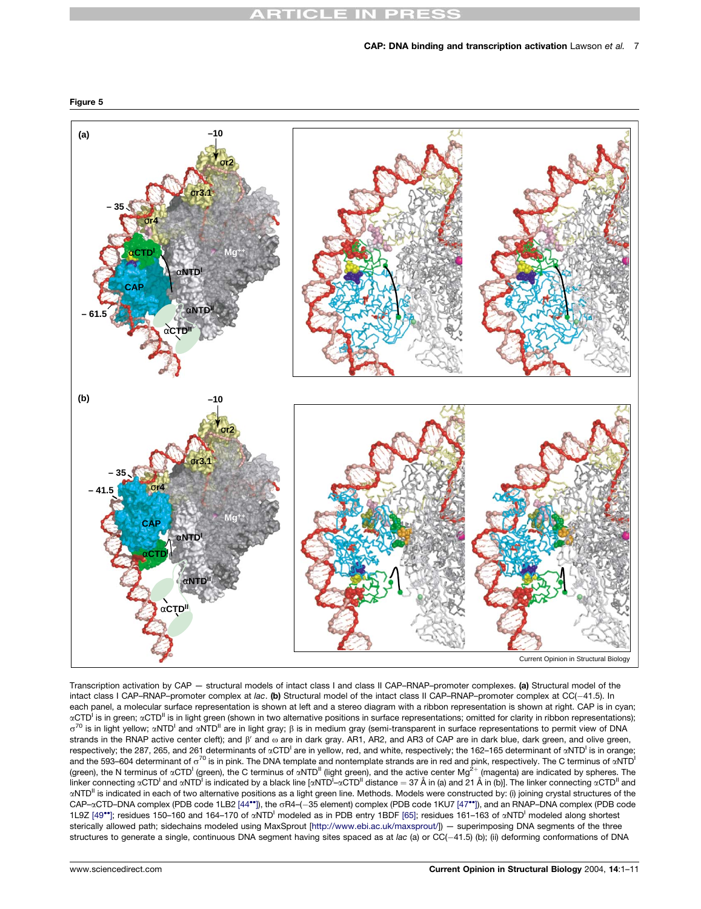# **ARTICLE IN PRESS**



Transcription activation by CAP — structural models of intact class I and class II CAP–RNAP–promoter complexes. (a) Structural model of the intact class I CAP–RNAP–promoter complex at lac. (b) Structural model of the intact class II CAP–RNAP–promoter complex at CC(-41.5). In each panel, a molecular surface representation is shown at left and a stereo diagram with a ribbon representation is shown at right. CAP is in cyan;  $\alpha$ CTD<sup>I</sup> is in green;  $\alpha$ CTD<sup>II</sup> is in light green (shown in two alternative positions in surface representations; omitted for clarity in ribbon representations);  $\sigma^{70}$  is in light yellow;  $\alpha$ NTD<sup>I</sup> and  $\alpha$ NTD<sup>II</sup> are in light gray;  $\beta$  is in medium gray (semi-transparent in surface representations to permit view of DNA strands in the RNAP active center cleft); and  $\beta'$  and  $\omega$  are in dark gray. AR1, AR2, and AR3 of CAP are in dark blue, dark green, and olive green, respectively; the 287, 265, and 261 determinants of «CTD<sup>I</sup> are in yellow, red, and white, respectively; the 162–165 determinant of «NTD<sup>I</sup> is in orange; and the 593–604 determinant of  $\sigma^{70}$  is in pink. The DNA template and nontemplate strands are in red and pink, respectively. The C terminus of  $\alpha NTD$ <sup>1</sup> (green), the N terminus of  $\alpha$ CTD<sup>I</sup> (green), the C terminus of  $\alpha$ NTD<sup>II</sup> (light green), and the active center Mg<sup>2+</sup> (magenta) are indicated by spheres. The linker connecting  $\alpha$ CTD<sup>I</sup> and  $\alpha$ NTD<sup>I</sup> is indicated by a black line [ $\alpha$ NTD<sup>I</sup>– $\alpha$ CTD<sup>II</sup> distance  $=37$  Å in (a) and 21 Å in (b)]. The linker connecting  $\alpha$ CTD<sup>II</sup> and αNTD<sup>II</sup> is indicated in each of two alternative positions as a light green line. Methods. Models were constructed by: (i) joining crystal structures of the  $CAP-\alpha$ CTD–DNA complex (PDB code 1LB2 [\[44](#page-9-0)<sup>\*\*</sup>[\]\)](#page-9-0), the  $\sigma$ R4–(-35 element) complex (PDB code 1KU7 [\[47](#page-9-0)<sup>\*\*</sup>[\]](#page-9-0)), and an RNAP–DNA complex (PDB code 1L9Z [\[49](#page-9-0)\*[\]](#page-9-0); residues 150-160 and 164-170 of  $\alpha NTD^1$  modeled as in PDB entry 1BDF [\[65\]](#page-10-0); residues 161-163 of  $\alpha NTD^1$  modeled along shortest sterically allowed path; sidechains modeled using MaxSprout [\[http://www.ebi.ac.uk/maxsprout/](http://www.ebi.ac.uk/maxsprout/)]) — superimposing DNA segments of the three structures to generate a single, continuous DNA segment having sites spaced as at lac (a) or CC(-41.5) (b); (ii) deforming conformations of DNA

<span id="page-6-0"></span>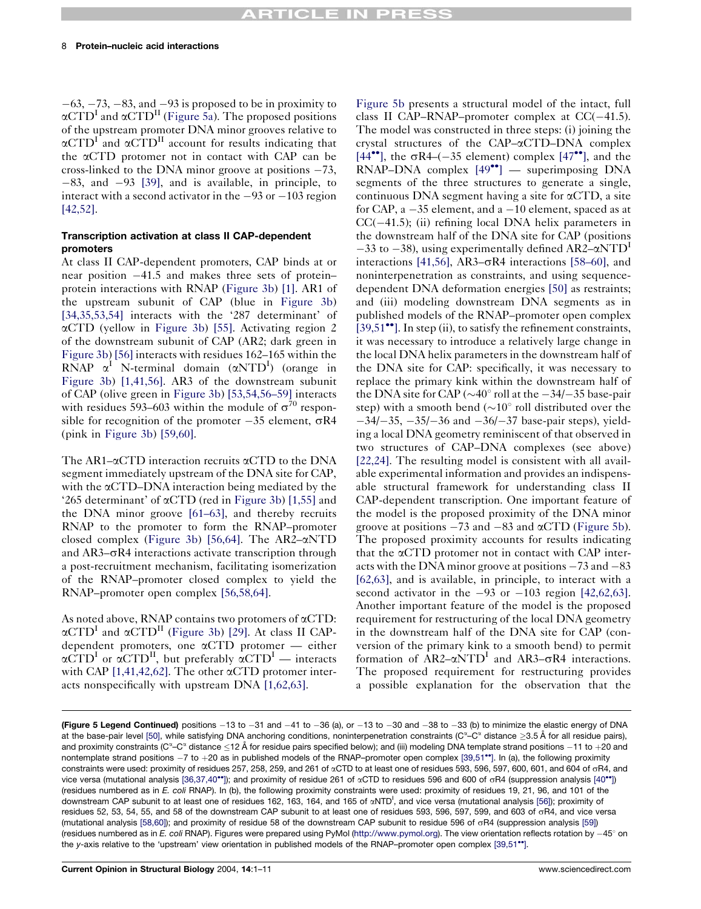$-63$ ,  $-73$ ,  $-83$ , and  $-93$  is proposed to be in proximity to  $\alpha$ CTD<sup>I</sup> and  $\alpha$ CTD<sup>II</sup> [\(Figure 5a](#page-6-0)). The proposed positions of the upstream promoter DNA minor grooves relative to  $\alpha$ CTD<sup>I</sup> and  $\alpha$ CTD<sup>II</sup> account for results indicating that the aCTD protomer not in contact with CAP can be cross-linked to the DNA minor groove at positions  $-73$ ,  $-83$ , and  $-93$  [\[39\]](#page-9-0), and is available, in principle, to interact with a second activator in the  $-93$  or  $-103$  region [\[42,52\].](#page-9-0)

#### Transcription activation at class II CAP-dependent promoters

At class II CAP-dependent promoters, CAP binds at or near position  $-41.5$  and makes three sets of protein– protein interactions with RNAP [\(Figure 3b\)](#page-4-0) [\[1\].](#page-8-0) AR1 of the upstream subunit of CAP (blue in [Figure 3b\)](#page-4-0) [\[34,35,53,54\]](#page-9-0) interacts with the '287 determinant' of aCTD (yellow in [Figure 3b\)](#page-4-0) [\[55\]](#page-9-0). Activating region 2 of the downstream subunit of CAP (AR2; dark green in [Figure 3b\)](#page-4-0) [\[56\]](#page-10-0) interacts with residues 162–165 within the  $\overline{RNAP}$   $\alpha^I$  N-terminal domain  $(\alpha NTD^I)$  (orange in [Figure 3b\)](#page-4-0) [\[1,41,56\]](#page-8-0). AR3 of the downstream subunit of CAP (olive green in [Figure 3b\)](#page-4-0) [\[53,54,56–59\]](#page-9-0) interacts with residues 593–603 within the module of  $\sigma^{70}$  responsible for recognition of the promoter  $-35$  element,  $\sigma$ R4 (pink in [Figure 3b\)](#page-4-0) [\[59,60\]](#page-10-0).

The AR1– $\alpha$ CTD interaction recruits  $\alpha$ CTD to the DNA segment immediately upstream of the DNA site for CAP, with the  $\alpha$ CTD–DNA interaction being mediated by the '265 determinant' of  $\alpha$ CTD (red in [Figure 3b\)](#page-4-0) [\[1,55\]](#page-8-0) and the DNA minor groove [\[61–63\]](#page-10-0), and thereby recruits RNAP to the promoter to form the RNAP–promoter closed complex [\(Figure 3b\)](#page-4-0) [\[56,64\]](#page-10-0). The AR2– $\alpha$ NTD and  $AR3-\sigma R4$  interactions activate transcription through a post-recruitment mechanism, facilitating isomerization of the RNAP–promoter closed complex to yield the RNAP–promoter open complex [\[56,58,64\].](#page-10-0)

As noted above, RNAP contains two protomers of  $\alpha$ CTD:  $\alpha$ CTD<sup>I</sup> and  $\alpha$ CTD<sup>II</sup> [\(Figure 3b\)](#page-4-0) [\[29\]](#page-9-0). At class II CAPdependent promoters, one aCTD protomer — either  $\alpha$ CTD<sup>I</sup> or  $\alpha$ CTD<sup>II</sup>, but preferably  $\alpha$ CTD<sup>I</sup> — interacts with CAP  $[1,41,42,62]$ . The other  $\alpha$ CTD protomer interacts nonspecifically with upstream DNA [\[1,62,63\]](#page-8-0).

[Figure 5b](#page-6-0) presents a structural model of the intact, full class II CAP–RNAP–promoter complex at  $CC(-41.5)$ . The model was constructed in three steps: (i) joining the crystal structures of the CAP–aCTD–DNA complex [\[44](#page-9-0)<sup> $\bullet$ </sup>[\]](#page-9-0), the  $\sigma$ R4–(-35 element) complex [\[47](#page-9-0) $\bullet$ <sup>o</sup>], and the  $RNAP-DNA$  complex  $[49^{\bullet\bullet}]$  $[49^{\bullet\bullet}]$  $[49^{\bullet\bullet}]$  — superimposing DNA segments of the three structures to generate a single, continuous DNA segment having a site for  $\alpha$ CTD, a site for CAP,  $a - 35$  element, and  $a - 10$  element, spaced as at  $CC(-41.5)$ ; (ii) refining local DNA helix parameters in the downstream half of the DNA site for CAP (positions  $-33$  to  $-38$ ), using experimentally defined AR2– $\alpha$ NTD<sup>1</sup> interactions [\[41,56\]](#page-9-0), AR3 $-\sigma$ R4 interactions [\[58–60\],](#page-10-0) and noninterpenetration as constraints, and using sequencedependent DNA deformation energies [\[50\]](#page-9-0) as restraints; and (iii) modeling downstream DNA segments as in published models of the RNAP–promoter open complex  $[39,51$ <sup>\*\*</sup>[\].](#page-9-0) In step (ii), to satisfy the refinement constraints, it was necessary to introduce a relatively large change in the local DNA helix parameters in the downstream half of the DNA site for CAP: specifically, it was necessary to replace the primary kink within the downstream half of the DNA site for CAP ( $\sim$ 40 $^{\circ}$  roll at the  $-34/35$  base-pair step) with a smooth bend  $(\sim 10^{\circ}$  roll distributed over the  $-34/-35$ ,  $-35/-36$  and  $-36/-37$  base-pair steps), yielding a local DNA geometry reminiscent of that observed in two structures of CAP–DNA complexes (see above) [\[22,24\]](#page-8-0). The resulting model is consistent with all available experimental information and provides an indispensable structural framework for understanding class II CAP-dependent transcription. One important feature of the model is the proposed proximity of the DNA minor groove at positions  $-73$  and  $-83$  and  $\alpha$ CTD [\(Figure 5b](#page-6-0)). The proposed proximity accounts for results indicating that the  $\alpha$ CTD protomer not in contact with CAP interacts with the DNA minor groove at positions  $-73$  and  $-83$ [\[62,63\]](#page-10-0), and is available, in principle, to interact with a second activator in the  $-93$  or  $-103$  region [\[42,62,63\].](#page-9-0) Another important feature of the model is the proposed requirement for restructuring of the local DNA geometry in the downstream half of the DNA site for CAP (conversion of the primary kink to a smooth bend) to permit formation of  $AR2-\alpha NTD<sup>I</sup>$  and  $AR3-\sigma R4$  interactions. The proposed requirement for restructuring provides a possible explanation for the observation that the

(Figure 5 Legend Continued) positions -13 to -31 and -41 to -36 (a), or -13 to -30 and -38 to -33 (b) to minimize the elastic energy of DNA at the base-pair level [\[50\],](#page-9-0) while satisfying DNA anchoring conditions, noninterpenetration constraints (C $\textdegree$ -C $\textdegree$  distance  $\geq$ 3.5 Å for all residue pairs), and proximity constraints (C<sup>∞</sup>–C<sup>∞</sup> distance  $\le$ 12 Å for residue pairs specified below); and (iii) modeling DNA template strand positions  $-$ 11 to  $+$ 20 and nontemplate strand positions  $-7$  to  $+20$  as in published models of the RNAP–promoter open complex [\[39,51](#page-9-0)<sup>\*\*</sup>[\]](#page-9-0). In (a), the following proximity constraints were used: proximity of residues 257, 258, 259, and 261 of  $\alpha$ CTD to at least one of residues 593, 596, 597, 600, 601, and 604 of  $\sigma$ R4, and vice versa (mutational analysis [\[36,37,40](#page-9-0)\*\*[\]](#page-9-0)); and proximity of residue 261 of  $\alpha$ CTD to residues 596 and 600 of  $\sigma$ R4 (suppression analysis [\[40](#page-9-0)\*\*[\]\)](#page-9-0) (residues numbered as in E. coli RNAP). In (b), the following proximity constraints were used: proximity of residues 19, 21, 96, and 101 of the downstream CAP subunit to at least one of residues 162, 163, 164, and 165 of αNTD<sup>I</sup>, and vice versa (mutational analysis [\[56\]\)](#page-10-0); proximity of residues 52, 53, 54, 55, and 58 of the downstream CAP subunit to at least one of residues 593, 596, 597, 599, and 603 of sR4, and vice versa (mutational analysis [\[58,60\]](#page-10-0)); and proximity of residue 58 of the downstream CAP subunit to residue 596 of sR4 (suppression analysis [\[59\]\)](#page-10-0) (residues numbered as in E. coli RNAP). Figures were prepared using PyMol [\(http://www.pymol.org\)](#page-6-0). The view orientation reflects rotation by  $-45^{\circ}$  on the y-axis relative to the 'upstream' view orientation in published models of the RNAP–promoter open complex [\[39,51](#page-9-0)\*[\].](#page-9-0)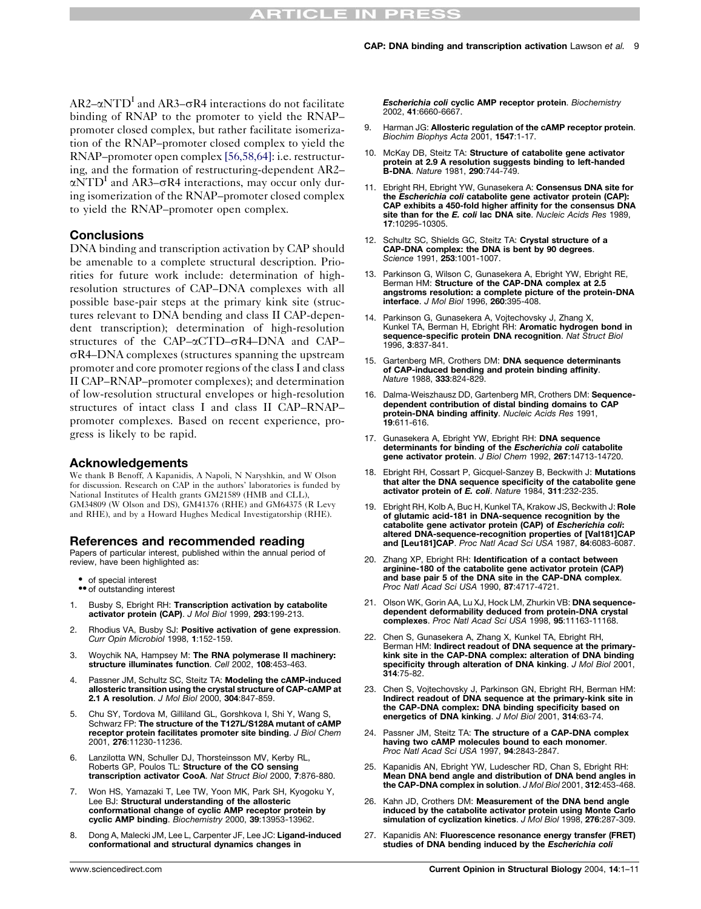<span id="page-8-0"></span> $AR2-\alpha NTD<sup>I</sup>$  and AR3– $\sigma$ R4 interactions do not facilitate binding of RNAP to the promoter to yield the RNAP– promoter closed complex, but rather facilitate isomerization of the RNAP–promoter closed complex to yield the RNAP–promoter open complex [\[56,58,64\]:](#page-10-0) i.e. restructuring, and the formation of restructuring-dependent AR2–  $\alpha$ NTD<sup>I</sup> and AR3– $\sigma$ R4 interactions, may occur only during isomerization of the RNAP–promoter closed complex to yield the RNAP–promoter open complex.

# **Conclusions**

DNA binding and transcription activation by CAP should be amenable to a complete structural description. Priorities for future work include: determination of highresolution structures of CAP–DNA complexes with all possible base-pair steps at the primary kink site (structures relevant to DNA bending and class II CAP-dependent transcription); determination of high-resolution structures of the CAP– $\alpha$ CTD– $\sigma$ R4–DNA and CAP–  $\sigma$ R4–DNA complexes (structures spanning the upstream promoter and core promoter regions of the class I and class II CAP–RNAP–promoter complexes); and determination of low-resolution structural envelopes or high-resolution structures of intact class I and class II CAP–RNAP– promoter complexes. Based on recent experience, progress is likely to be rapid.

# Acknowledgements

We thank B Benoff, A Kapanidis, A Napoli, N Naryshkin, and W Olson for discussion. Research on CAP in the authors' laboratories is funded by National Institutes of Health grants GM21589 (HMB and CLL), GM34809 (W Olson and DS), GM41376 (RHE) and GM64375 (R Levy and RHE), and by a Howard Hughes Medical Investigatorship (RHE).

# References and recommended reading

Papers of particular interest, published within the annual period of review, have been highlighted as:

- 
- of special interest<br>•• of outstanding interest
- 1. Busby S, Ebright RH: Transcription activation by catabolite activator protein (CAP). J Mol Biol 1999, 293:199-213.
- 2. Rhodius VA, Busby SJ: Positive activation of gene expression. Curr Opin Microbiol 1998, 1:152-159.
- 3. Woychik NA, Hampsey M: The RNA polymerase II machinery: structure illuminates function. Cell 2002, 108:453-463.
- 4. Passner JM, Schultz SC, Steitz TA: Modeling the cAMP-induced allosteric transition using the crystal structure of CAP-cAMP at 2.1 A resolution. J Mol Biol 2000, 304:847-859.
- 5. Chu SY, Tordova M, Gilliland GL, Gorshkova I, Shi Y, Wang S, Schwarz FP: The structure of the T127L/S128A mutant of cAMP receptor protein facilitates promoter site binding. J Biol Chem 2001, 276:11230-11236.
- Lanzilotta WN, Schuller DJ, Thorsteinsson MV, Kerby RL, Roberts GP, Poulos TL: Structure of the CO sensing transcription activator CooA. Nat Struct Biol 2000, 7:876-880.
- 7. Won HS, Yamazaki T, Lee TW, Yoon MK, Park SH, Kyogoku Y, Lee BJ: Structural understanding of the allosteric conformational change of cyclic AMP receptor protein by cyclic AMP binding. Biochemistry 2000, 39:13953-13962.
- 8. Dong A, Malecki JM, Lee L, Carpenter JF, Lee JC: Ligand-induced conformational and structural dynamics changes in

Escherichia coli cyclic AMP receptor protein. Biochemistry 2002, 41:6660-6667.

- 9. Harman JG: Allosteric regulation of the cAMP receptor protein. Biochim Biophys Acta 2001, 1547:1-17.
- 10. McKay DB, Steitz TA: Structure of catabolite gene activator protein at 2.9 A resolution suggests binding to left-handed<br>B-DNA. *Nature* 1981, 290:744-749.
- 11. Ebright RH, Ebright YW, Gunasekera A: Consensus DNA site for the Escherichia coli catabolite gene activator protein (CAP): CAP exhibits a 450-fold higher affinity for the consensus DNA site than for the E. coli lac DNA site. Nucleic Acids Res 1989, 17:10295-10305.
- 12. Schultz SC, Shields GC, Steitz TA: Crystal structure of a CAP-DNA complex: the DNA is bent by 90 degrees. Science 1991, **253**:1001-1007.
- 13. Parkinson G, Wilson C, Gunasekera A, Ebright YW, Ebright RE, Berman HM: Structure of the CAP-DNA complex at 2.5 angstroms resolution: a complete picture of the protein-DNA interface. J Mol Biol 1996, 260:395-408.
- 14. Parkinson G, Gunasekera A, Vojtechovsky J, Zhang X, Kunkel TA, Berman H, Ebright RH: Aromatic hydrogen bond in sequence-specific protein DNA recognition. Nat Struct Biol 1996, 3:837-841.
- 15. Gartenberg MR, Crothers DM: DNA sequence determinants of **CAP-induced bending and protein binding affinity.**<br>Nature 1988, **333**:824-829.
- 16. Dalma-Weiszhausz DD, Gartenberg MR, Crothers DM: Sequence-dependent contribution of distal binding domains to CAP protein-DNA binding affinity. Nucleic Acids Res 1991, 19:611-616.
- 17. Gunasekera A, Ebright YW, Ebright RH: DNA sequence determinants for binding of the Escherichia coli catabolite gene activator protein. J Biol Chem 1992, 267:14713-14720.
- 18. Ebright RH, Cossart P, Gicquel-Sanzey B, Beckwith J: Mutations that alter the DNA sequence specificity of the catabolite gene activator protein of E. coli. Nature 1984, 311:232-235.
- 19. Ebright RH, Kolb A, Buc H, Kunkel TA, Krakow JS, Beckwith J: Role of glutamic acid-181 in DNA-sequence recognition by the<br>catabolite gene activator protein (CAP) of *Escherichia coli*: altered DNA-sequence-recognition properties of [Val181]CAP and [Leu181]CAP. Proc Natl Acad Sci USA 1987, 84:6083-6087.
- 20. Zhang XP, Ebright RH: Identification of a contact between arginine-180 of the catabolite gene activator protein (CAP) and base pair 5 of the DNA site in the CAP-DNA complex. Proc Natl Acad Sci USA 1990, 87:4717-4721.
- 21. Olson WK, Gorin AA, Lu XJ, Hock LM, Zhurkin VB: DNA sequencedependent deformability deduced from protein-DNA crystal complexes. Proc Natl Acad Sci USA 1998, 95:11163-11168.
- 22. Chen S, Gunasekera A, Zhang X, Kunkel TA, Ebright RH,<br>Berman HM: **Indirect readout of DNA sequence at the primary**kink site in the CAP-DNA complex: alteration of DNA binding specificity through alteration of DNA kinking. J Mol Biol 2001, 314:75-82.
- 23. Chen S, Vojtechovsky J, Parkinson GN, Ebright RH, Berman HM: Indirect readout of DNA sequence at the primary-kink site in the CAP-DNA complex: DNA binding specificity based on energetics of DNA kinking. J Mol Biol 2001, 314:63-74.
- 24. Passner JM, Steitz TA: The structure of a CAP-DNA complex having two cAMP molecules bound to each monomer. Proc Natl Acad Sci USA 1997, 94:2843-2847.
- 25. Kapanidis AN, Ebright YW, Ludescher RD, Chan S, Ebright RH: Mean DNA bend angle and distribution of DNA bend angles in the CAP-DNA complex in solution. J Mol Biol 2001, 312:453-468.
- 26. Kahn JD, Crothers DM: Measurement of the DNA bend angle induced by the catabolite activator protein using Monte Carlo simulation of cyclization kinetics. J Mol Biol 1998, 276:287-309.
- 27. Kapanidis AN: Fluorescence resonance energy transfer (FRET) studies of DNA bending induced by the Escherichia coli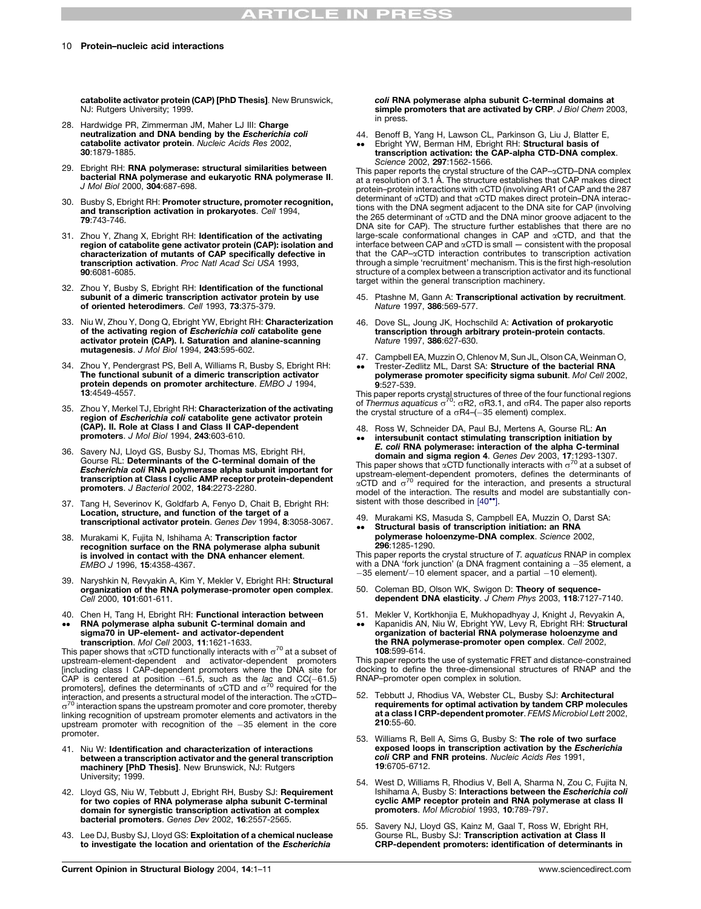<span id="page-9-0"></span>catabolite activator protein (CAP) [PhD Thesis]. New Brunswick, NJ: Rutgers University: 1999.

- 28. Hardwidge PR, Zimmerman JM, Maher LJ III: Charge neutralization and DNA bending by the *Escherichia coli*<br>catabolite activator protein. *Nucleic Acid*s Res 2002, 30:1879-1885.
- 29. Ebright RH: RNA polymerase: structural similarities between bacterial RNA polymerase and eukaryotic RNA polymerase II. J Mol Biol 2000, 304:687-698.
- 30. Busby S, Ebright RH: Promoter structure, promoter recognition, and transcription activation in prokaryotes. Cell 1994, 79:743-746.
- 31. Zhou Y, Zhang X, Ebright RH: Identification of the activating region of catabolite gene activator protein (CAP): isolation and characterization of mutants of CAP specifically defective in transcription activation. Proc Natl Acad Sci USA 1993, 90:6081-6085.
- 32. Zhou Y, Busby S, Ebright RH: Identification of the functional subunit of a dimeric transcription activator protein by use of oriented heterodimers. Cell 1993, 73:375-379.
- 33. Niu W, Zhou Y, Dong Q, Ebright YW, Ebright RH: Characterization of the activating region of *Escherichia coli* catabolite gene<br>activator protein (CAP). I. Saturation and alanine-scanning mutagenesis. J Mol Biol 1994, 243:595-602.
- 34. Zhou Y, Pendergrast PS, Bell A, Williams R, Busby S, Ebright RH: The functional subunit of a dimeric transcription activator protein depends on promoter architecture. EMBO J 1994, 13:4549-4557.
- 35. Zhou Y, Merkel TJ, Ebright RH: Characterization of the activating region of Escherichia coli catabolite gene activator protein (CAP). II. Role at Class I and Class II CAP-dependent promoters. J Mol Biol 1994, 243:603-610.
- 36. Savery NJ, Lloyd GS, Busby SJ, Thomas MS, Ebright RH, Gourse RL: Determinants of the C-terminal domain of the Escherichia coli RNA polymerase alpha subunit important for transcription at Class I cyclic AMP receptor protein-dependent promoters. J Bacteriol 2002, 184:2273-2280.
- 37. Tang H, Severinov K, Goldfarb A, Fenyo D, Chait B, Ebright RH: Location, structure, and function of the target of a transcriptional activator protein. Genes Dev 1994, 8:3058-3067.
- 38. Murakami K, Fujita N, Ishihama A: Transcription factor recognition surface on the RNA polymerase alpha subunit is involved in contact with the DNA enhancer element. EMBO J 1996, 15:4358-4367.
- 39. Naryshkin N, Revyakin A, Kim Y, Mekler V, Ebright RH: Structural organization of the RNA polymerase-promoter open complex. Cell 2000, 101:601-611.
- 40. Chen H, Tang H, Ebright RH: Functional interaction between
- $\bullet \bullet$ RNA polymerase alpha subunit C-terminal domain and sigma70 in UP-element- and activator-dependent transcription. Mol Cell 2003, 11:1621-1633.

This paper shows that  $\alpha$ CTD functionally interacts with  $\sigma^{70}$  at a subset of upstream-element-dependent and activator-dependent promoters [including class I CAP-dependent promoters where the DNA site for<br>CAP is centered at position -61.5, such as the *lac* and CC(-61.5)<br>promoters], defines the determinants of αCTD and σ<sup>70</sup> required for the  $interaction$ , and presents a structural model of the interaction. The  $\alpha$ CTD–  $\sigma^{70}$  interaction spans the upstream promoter and core promoter, thereby linking recognition of upstream promoter elements and activators in the upstream promoter with recognition of the  $-35$  element in the core promoter.

- 41. Niu W: Identification and characterization of interactions between a transcription activator and the general transcription machinery [PhD Thesis]. New Brunswick, NJ: Rutgers University; 1999.
- 42. Lloyd GS, Niu W, Tebbutt J, Ebright RH, Busby SJ: Requirement for two copies of RNA polymerase alpha subunit C-terminal domain for synergistic transcription activation at complex bacterial promoters. Genes Dev 2002, 16:2557-2565.
- 43. Lee DJ, Busby SJ, Lloyd GS: Exploitation of a chemical nuclease to investigate the location and orientation of the Escherichia

coli RNA polymerase alpha subunit C-terminal domains at simple promoters that are activated by CRP. J Biol Chem 2003, in press.

- 44. Benoff B, Yang H, Lawson CL, Parkinson G, Liu J, Blatter E,<br>Ebright YW, Berman HM, Ebright RH: **Structural basis of**
- $\bullet \bullet$ transcription activation: the CAP-alpha CTD-DNA complex. Science 2002, 297:1562-1566.

This paper reports the crystal structure of the CAP-aCTD-DNA complex at a resolution of 3.1 Å. The structure establishes that CAP makes direct protein–protein interactions with aCTD (involving AR1 of CAP and the 287 determinant of aCTD) and that aCTD makes direct protein–DNA interactions with the DNA segment adjacent to the DNA site for CAP (involving the 265 determinant of aCTD and the DNA minor groove adjacent to the DNA site for CAP). The structure further establishes that there are no large-scale conformational changes in CAP and aCTD, and that the interface between CAP and  $\alpha$ CTD is small  $-$  consistent with the proposal that the CAP–aCTD interaction contributes to transcription activation through a simple 'recruitment' mechanism. This is the first high-resolution structure of a complex between a transcription activator and its functional target within the general transcription machinery.

- 45. Ptashne M, Gann A: Transcriptional activation by recruitment. Nature 1997, 386:569-577.
- 46. Dove SL, Joung JK, Hochschild A: Activation of prokaryotic transcription through arbitrary protein-protein contacts. Nature 1997, 386:627-630.
- 47. Campbell EA, Muzzin O, Chlenov M, Sun JL, Olson CA, Weinman O,  $\bullet \bullet$ Trester-Zedlitz ML, Darst SA: Structure of the bacterial RNA polymerase promoter specificity sigma subunit. Mol Cell 2002, 9:527-539

This paper reports crystal structures of three of the four functional regions of Thermus aquaticus  $\sigma^{70}$ :  $\sigma$ R2,  $\sigma$ R3.1, and  $\sigma$ R4. The paper also reports the crystal structure of a  $\sigma$ R4–(-35 element) complex.

- 48. Ross W, Schneider DA, Paul BJ, Mertens A, Gourse RL: An
- $\bullet \bullet$ intersubunit contact stimulating transcription initiation by E. coli RNA polymerase: interaction of the alpha C-terminal

**domain and sigma region 4.** Genes Dev 2003, **17**:1293-1307.<br>This paper shows that  $\alpha$ CTD functionally interacts with  $\sigma^{70}$  at a subset of upstream-element-dependent promoters, defines the determinants of<br>xCTD and o<sup>70</sup> required for the interaction, and presents a structural  $\alpha$ CTD and  $\sigma^{70}$  required for the interaction, and presents a structural model of the interaction. The results and model are substantially consistent with those described in  $[40^{\circ\bullet}].$ 

49. Murakami KS, Masuda S, Campbell EA, Muzzin O, Darst SA:  $\bullet\bullet$ Structural basis of transcription initiation: an RNA polymerase holoenzyme-DNA complex. Science 2002, 296:1285-1290.

This paper reports the crystal structure of T. aquaticus RNAP in complex with a DNA 'fork junction' (a DNA fragment containing  $a - 35$  element, a  $-35$  element/ $-10$  element spacer, and a partial  $-10$  element).

- 50. Coleman BD, Olson WK, Swigon D: Theory of sequencedependent DNA elasticity. J Chem Phys 2003, 118:7127-7140.
- 51. Mekler V, Kortkhonjia E, Mukhopadhyay J, Knight J, Revyakin A, .. Kapanidis AN, Niu W, Ebright YW, Levy R, Ebright RH: Structural organization of bacterial RNA polymerase holoenzyme and the RNA polymerase-promoter open complex. Cell 2002, 108:599-614.

This paper reports the use of systematic FRET and distance-constrained docking to define the three-dimensional structures of RNAP and the RNAP–promoter open complex in solution.

- 52. Tebbutt J, Rhodius VA, Webster CL, Busby SJ: Architectural requirements for optimal activation by tandem CRP molecules at a class I CRP-dependent promoter. FEMS Microbiol Lett 2002, 210:55-60.
- 53. Williams R, Bell A, Sims G, Busby S: The role of two surface exposed loops in transcription activation by the Escherichia coli CRP and FNR proteins. Nucleic Acids Res 1991, 19:6705-6712.
- 54. West D, Williams R, Rhodius V, Bell A, Sharma N, Zou C, Fujita N, Ishihama A, Busby S: Interactions between the Escherichia coli cyclic AMP receptor protein and RNA polymerase at class II promoters. Mol Microbiol 1993, 10:789-797.
- 55. Savery NJ, Lloyd GS, Kainz M, Gaal T, Ross W, Ebright RH, Gourse RL, Busby SJ: Transcription activation at Class II CRP-dependent promoters: identification of determinants in